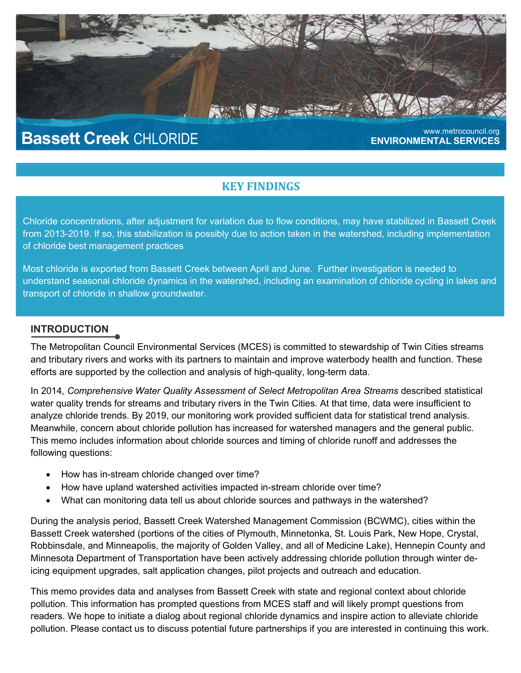# Bassett Creek CHLORIDE **Bassett Creek CHLORIDE**

ENVIRONMENTAL SERVICES

# KEY FINDINGS

**NEW YORK AND A STREET** 

Chloride concentrations, after adjustment for variation due to flow conditions, may have stabilized in Bassett Creek from 2013-2019. If so, this stabilization is possibly due to action taken in the watershed, including implementation of chloride best management practices

Most chloride is exported from Bassett Creek between April and June. Further investigation is needed to understand seasonal chloride dynamics in the watershed, including an examination of chloride cycling in lakes and transport of chloride in shallow groundwater.

#### **INTRODUCTION**

The Metropolitan Council Environmental Services (MCES) is committed to stewardship of Twin Cities streams and tributary rivers and works with its partners to maintain and improve waterbody health and function. These efforts are supported by the collection and analysis of high-quality, long-term data.

In 2014, Comprehensive Water Quality Assessment of Select Metropolitan Area Streams described statistical water quality trends for streams and tributary rivers in the Twin Cities. At that time, data were insufficient to analyze chloride trends. By 2019, our monitoring work provided sufficient data for statistical trend analysis. Meanwhile, concern about chloride pollution has increased for watershed managers and the general public. This memo includes information about chloride sources and timing of chloride runoff and addresses the following questions:

- How has in-stream chloride changed over time?
- How have upland watershed activities impacted in-stream chloride over time?
- What can monitoring data tell us about chloride sources and pathways in the watershed?

During the analysis period, Bassett Creek Watershed Management Commission (BCWMC), cities within the Bassett Creek watershed (portions of the cities of Plymouth, Minnetonka, St. Louis Park, New Hope, Crystal, Robbinsdale, and Minneapolis, the majority of Golden Valley, and all of Medicine Lake), Hennepin County and Minnesota Department of Transportation have been actively addressing chloride pollution through winter deicing equipment upgrades, salt application changes, pilot projects and outreach and education.

This memo provides data and analyses from Bassett Creek with state and regional context about chloride pollution. This information has prompted questions from MCES staff and will likely prompt questions from readers. We hope to initiate a dialog about regional chloride dynamics and inspire action to alleviate chloride pollution. Please contact us to discuss potential future partnerships if you are interested in continuing this work.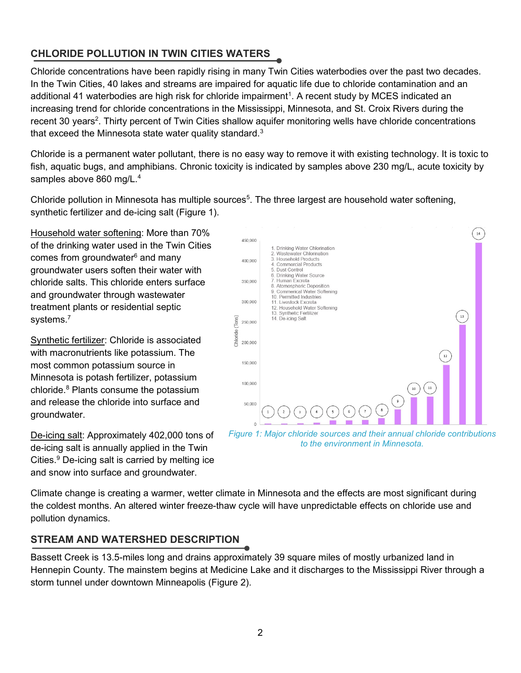# CHLORIDE POLLUTION IN TWIN CITIES WATERS

Chloride concentrations have been rapidly rising in many Twin Cities waterbodies over the past two decades. In the Twin Cities, 40 lakes and streams are impaired for aquatic life due to chloride contamination and an additional 41 waterbodies are high risk for chloride impairment<sup>1</sup>. A recent study by MCES indicated an increasing trend for chloride concentrations in the Mississippi, Minnesota, and St. Croix Rivers during the recent 30 years<sup>2</sup>. Thirty percent of Twin Cities shallow aquifer monitoring wells have chloride concentrations that exceed the Minnesota state water quality standard. $3$ 

Chloride is a permanent water pollutant, there is no easy way to remove it with existing technology. It is toxic to fish, aquatic bugs, and amphibians. Chronic toxicity is indicated by samples above 230 mg/L, acute toxicity by samples above 860 mg/L.<sup>4</sup>

Chloride pollution in Minnesota has multiple sources<sup>5</sup>. The three largest are household water softening, synthetic fertilizer and de-icing salt (Figure 1).

Household water softening: More than 70% of the drinking water used in the Twin Cities comes from groundwater<sup>6</sup> and many groundwater users soften their water with chloride salts. This chloride enters surface and groundwater through wastewater treatment plants or residential septic systems.<sup>7</sup>

Synthetic fertilizer: Chloride is associated with macronutrients like potassium. The most common potassium source in Minnesota is potash fertilizer, potassium chloride.<sup>8</sup> Plants consume the potassium and release the chloride into surface and groundwater.

De-icing salt: Approximately 402,000 tons of de-icing salt is annually applied in the Twin Cities.<sup>9</sup> De-icing salt is carried by melting ice and snow into surface and groundwater.



Figure 1: Major chloride sources and their annual chloride contributions to the environment in Minnesota.

Climate change is creating a warmer, wetter climate in Minnesota and the effects are most significant during the coldest months. An altered winter freeze-thaw cycle will have unpredictable effects on chloride use and pollution dynamics.

# STREAM AND WATERSHED DESCRIPTION

Bassett Creek is 13.5-miles long and drains approximately 39 square miles of mostly urbanized land in Hennepin County. The mainstem begins at Medicine Lake and it discharges to the Mississippi River through a storm tunnel under downtown Minneapolis (Figure 2).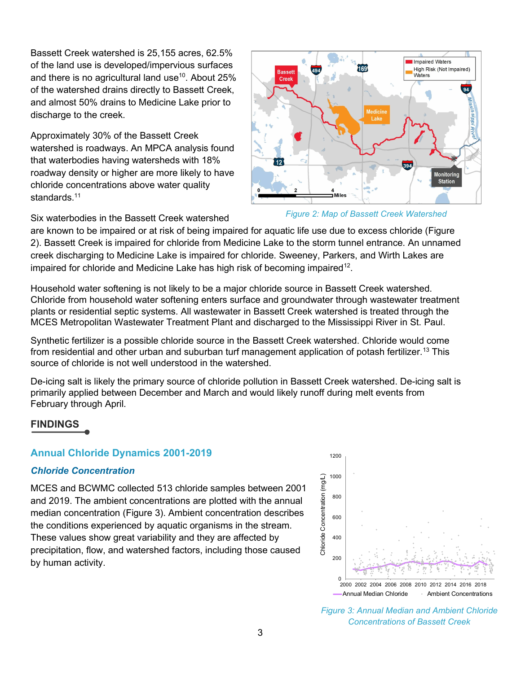Bassett Creek watershed is 25,155 acres, 62.5% of the land use is developed/impervious surfaces and there is no agricultural land use<sup>10</sup>. About 25% of the watershed drains directly to Bassett Creek, and almost 50% drains to Medicine Lake prior to discharge to the creek.

Approximately 30% of the Bassett Creek watershed is roadways. An MPCA analysis found that waterbodies having watersheds with 18% roadway density or higher are more likely to have chloride concentrations above water quality standards.<sup>11</sup>



Figure 2: Map of Bassett Creek Watershed

Six waterbodies in the Bassett Creek watershed

are known to be impaired or at risk of being impaired for aquatic life use due to excess chloride (Figure 2). Bassett Creek is impaired for chloride from Medicine Lake to the storm tunnel entrance. An unnamed creek discharging to Medicine Lake is impaired for chloride. Sweeney, Parkers, and Wirth Lakes are impaired for chloride and Medicine Lake has high risk of becoming impaired<sup>12</sup>.

Household water softening is not likely to be a major chloride source in Bassett Creek watershed. Chloride from household water softening enters surface and groundwater through wastewater treatment plants or residential septic systems. All wastewater in Bassett Creek watershed is treated through the MCES Metropolitan Wastewater Treatment Plant and discharged to the Mississippi River in St. Paul.

Synthetic fertilizer is a possible chloride source in the Bassett Creek watershed. Chloride would come from residential and other urban and suburban turf management application of potash fertilizer.<sup>13</sup> This source of chloride is not well understood in the watershed.

De-icing salt is likely the primary source of chloride pollution in Bassett Creek watershed. De-icing salt is primarily applied between December and March and would likely runoff during melt events from February through April.

# FINDINGS

# Annual Chloride Dynamics 2001-2019

# Chloride Concentration

MCES and BCWMC collected 513 chloride samples between 2001 and 2019. The ambient concentrations are plotted with the annual median concentration (Figure 3). Ambient concentration describes the conditions experienced by aquatic organisms in the stream. These values show great variability and they are affected by precipitation, flow, and watershed factors, including those caused by human activity.



Figure 3: Annual Median and Ambient Chloride Concentrations of Bassett Creek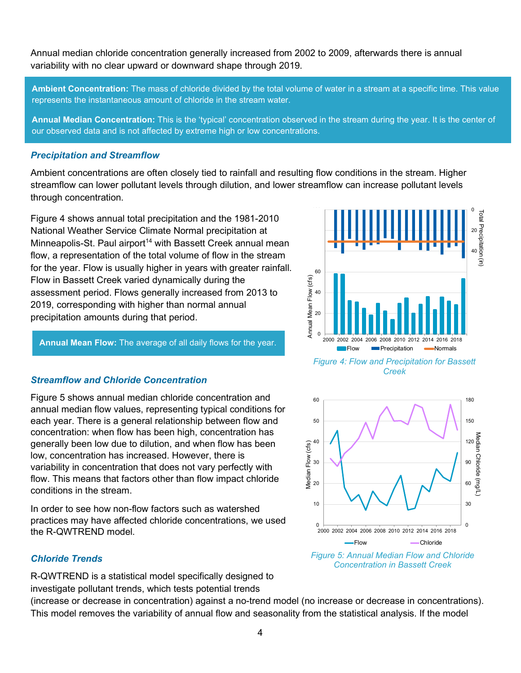Annual median chloride concentration generally increased from 2002 to 2009, afterwards there is annual variability with no clear upward or downward shape through 2019.

Ambient Concentration: The mass of chloride divided by the total volume of water in a stream at a specific time. This value represents the instantaneous amount of chloride in the stream water.

Annual Median Concentration: This is the 'typical' concentration observed in the stream during the year. It is the center of our observed data and is not affected by extreme high or low concentrations.

#### Precipitation and Streamflow

Ambient concentrations are often closely tied to rainfall and resulting flow conditions in the stream. Higher streamflow can lower pollutant levels through dilution, and lower streamflow can increase pollutant levels through concentration.

Figure 4 shows annual total precipitation and the 1981-2010 National Weather Service Climate Normal precipitation at Minneapolis-St. Paul airport<sup>14</sup> with Bassett Creek annual mean flow, a representation of the total volume of flow in the stream for the year. Flow is usually higher in years with greater rainfall. Flow in Bassett Creek varied dynamically during the assessment period. Flows generally increased from 2013 to 2019, corresponding with higher than normal annual precipitation amounts during that period.

Annual Mean Flow: The average of all daily flows for the year.

#### Streamflow and Chloride Concentration

Figure 5 shows annual median chloride concentration and annual median flow values, representing typical conditions for each year. There is a general relationship between flow and concentration: when flow has been high, concentration has generally been low due to dilution, and when flow has been low, concentration has increased. However, there is variability in concentration that does not vary perfectly with flow. This means that factors other than flow impact chloride conditions in the stream.

In order to see how non-flow factors such as watershed practices may have affected chloride concentrations, we used the R-QWTREND model.

#### Chloride Trends

R-QWTREND is a statistical model specifically designed to investigate pollutant trends, which tests potential trends

(increase or decrease in concentration) against a no-trend model (no increase or decrease in concentrations). This model removes the variability of annual flow and seasonality from the statistical analysis. If the model



Figure 4: Flow and Precipitation for Bassett Creek



Concentration in Bassett Creek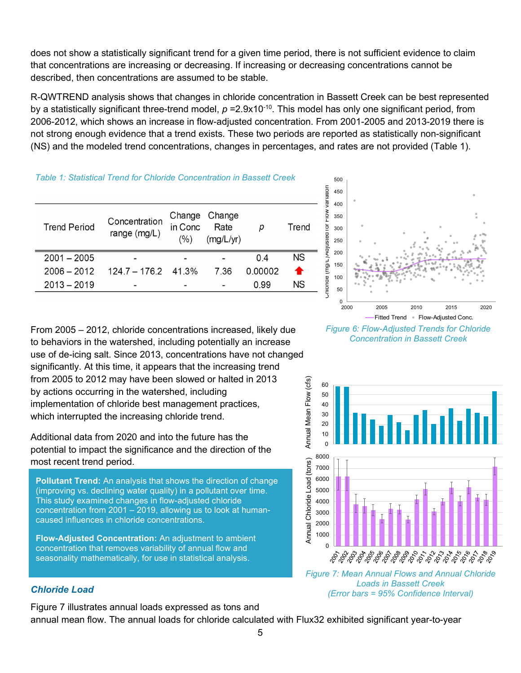does not show a statistically significant trend for a given time period, there is not sufficient evidence to claim that concentrations are increasing or decreasing. If increasing or decreasing concentrations cannot be described, then concentrations are assumed to be stable.

R-QWTREND analysis shows that changes in chloride concentration in Bassett Creek can be best represented by a statistically significant three-trend model,  $p = 2.9x10^{-10}$ . This model has only one significant period, from 2006-2012, which shows an increase in flow-adjusted concentration. From 2001-2005 and 2013-2019 there is not strong enough evidence that a trend exists. These two periods are reported as statistically non-significant (NS) and the modeled trend concentrations, changes in percentages, and rates are not provided (Table 1).

#### Table 1: Statistical Trend for Chloride Concentration in Bassett Creek

| <b>Trend Period</b> | Concentration<br>range (mg/L) | Change<br>in Conc<br>$(\%)$ | Change<br>Rate<br>(mg/L/yr) |         | Trend |
|---------------------|-------------------------------|-----------------------------|-----------------------------|---------|-------|
| $2001 - 2005$       |                               |                             |                             | 04      | ΝS    |
| $2006 - 2012$       | $124.7 - 176.2$ 41.3%         |                             | 7.36                        | 0.00002 |       |
| $2013 - 2019$       |                               |                             |                             | 0.99    | ΝS    |



Figure 6: Flow-Adjusted Trends for Chloride



Figure 7: Mean Annual Flows and Annual Chloride Loads in Bassett Creek (Error bars = 95% Confidence Interval)

From 2005 – 2012, chloride concentrations increased, likely due to behaviors in the watershed, including potentially an increase use of de-icing salt. Since 2013, concentrations have not changed significantly. At this time, it appears that the increasing trend from 2005 to 2012 may have been slowed or halted in 2013 by actions occurring in the watershed, including implementation of chloride best management practices, which interrupted the increasing chloride trend.

Additional data from 2020 and into the future has the potential to impact the significance and the direction of the most recent trend period.

Pollutant Trend: An analysis that shows the direction of change (improving vs. declining water quality) in a pollutant over time. This study examined changes in flow-adjusted chloride concentration from 2001 – 2019, allowing us to look at humancaused influences in chloride concentrations.

Flow-Adjusted Concentration: An adjustment to ambient concentration that removes variability of annual flow and seasonality mathematically, for use in statistical analysis.

#### Chloride Load

Figure 7 illustrates annual loads expressed as tons and annual mean flow. The annual loads for chloride calculated with Flux32 exhibited significant year-to-year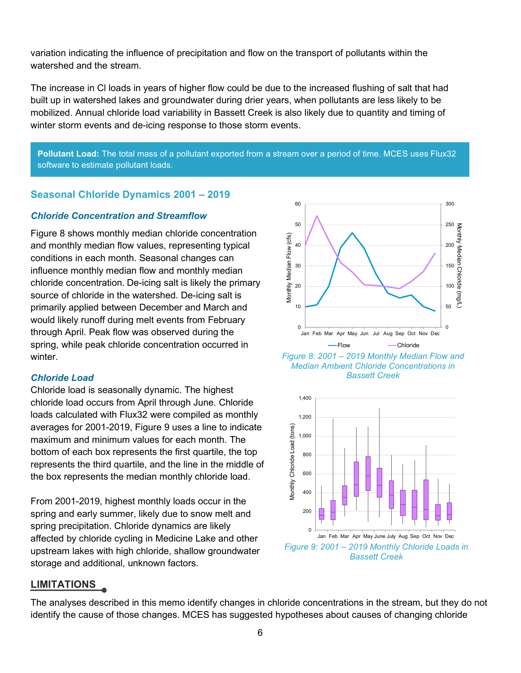variation indicating the influence of precipitation and flow on the transport of pollutants within the watershed and the stream.

The increase in Cl loads in years of higher flow could be due to the increased flushing of salt that had built up in watershed lakes and groundwater during drier years, when pollutants are less likely to be mobilized. Annual chloride load variability in Bassett Creek is also likely due to quantity and timing of winter storm events and de-icing response to those storm events.

Pollutant Load: The total mass of a pollutant exported from a stream over a period of time. MCES uses Flux32 software to estimate pollutant loads.

### Seasonal Chloride Dynamics 2001 – 2019

#### Chloride Concentration and Streamflow

Figure 8 shows monthly median chloride concentration and monthly median flow values, representing typical conditions in each month. Seasonal changes can influence monthly median flow and monthly median chloride concentration. De-icing salt is likely the primary source of chloride in the watershed. De-icing salt is primarily applied between December and March and would likely runoff during melt events from February through April. Peak flow was observed during the spring, while peak chloride concentration occurred in winter

#### Chloride Load

Chloride load is seasonally dynamic. The highest chloride load occurs from April through June. Chloride loads calculated with Flux32 were compiled as monthly averages for 2001-2019, Figure 9 uses a line to indicate maximum and minimum values for each month. The bottom of each box represents the first quartile, the top represents the third quartile, and the line in the middle of the box represents the median monthly chloride load.

From 2001-2019, highest monthly loads occur in the spring and early summer, likely due to snow melt and spring precipitation. Chloride dynamics are likely affected by chloride cycling in Medicine Lake and other upstream lakes with high chloride, shallow groundwater storage and additional, unknown factors.



Figure 8: 2001 – 2019 Monthly Median Flow and Median Ambient Chloride Concentrations in May Jun Jul Aug Sep Oct Nov Dec<sup>0</sup><br>w ----Chloride<br>2019 Monthly Median Flow and<br>nt Chloride Concentrations in<br>Bassett Creek



#### LIMITATIONS

The analyses described in this memo identify changes in chloride concentrations in the stream, but they do not identify the cause of those changes. MCES has suggested hypotheses about causes of changing chloride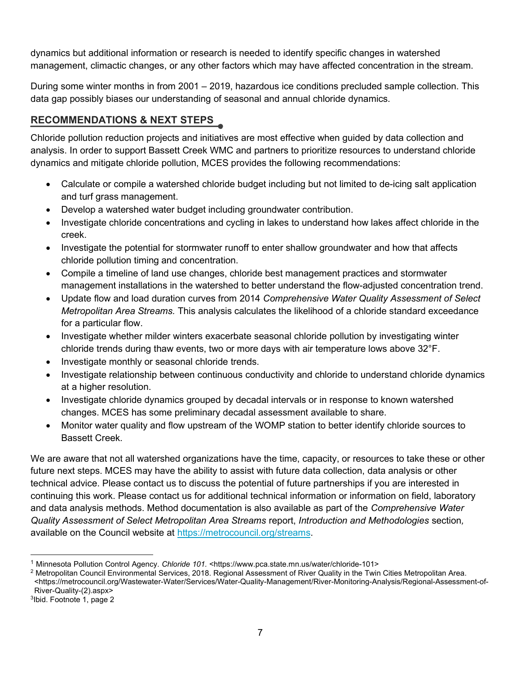dynamics but additional information or research is needed to identify specific changes in watershed management, climactic changes, or any other factors which may have affected concentration in the stream.

During some winter months in from 2001 – 2019, hazardous ice conditions precluded sample collection. This data gap possibly biases our understanding of seasonal and annual chloride dynamics.

# RECOMMENDATIONS & NEXT STEPS

Chloride pollution reduction projects and initiatives are most effective when guided by data collection and analysis. In order to support Bassett Creek WMC and partners to prioritize resources to understand chloride dynamics and mitigate chloride pollution, MCES provides the following recommendations:

- Calculate or compile a watershed chloride budget including but not limited to de-icing salt application and turf grass management.
- Develop a watershed water budget including groundwater contribution.
- Investigate chloride concentrations and cycling in lakes to understand how lakes affect chloride in the creek.
- Investigate the potential for stormwater runoff to enter shallow groundwater and how that affects chloride pollution timing and concentration.
- Compile a timeline of land use changes, chloride best management practices and stormwater management installations in the watershed to better understand the flow-adjusted concentration trend.
- Update flow and load duration curves from 2014 Comprehensive Water Quality Assessment of Select Metropolitan Area Streams. This analysis calculates the likelihood of a chloride standard exceedance for a particular flow.
- Investigate whether milder winters exacerbate seasonal chloride pollution by investigating winter chloride trends during thaw events, two or more days with air temperature lows above 32°F.
- Investigate monthly or seasonal chloride trends.
- Investigate relationship between continuous conductivity and chloride to understand chloride dynamics at a higher resolution.
- Investigate chloride dynamics grouped by decadal intervals or in response to known watershed changes. MCES has some preliminary decadal assessment available to share.
- Monitor water quality and flow upstream of the WOMP station to better identify chloride sources to Bassett Creek.

We are aware that not all watershed organizations have the time, capacity, or resources to take these or other future next steps. MCES may have the ability to assist with future data collection, data analysis or other technical advice. Please contact us to discuss the potential of future partnerships if you are interested in continuing this work. Please contact us for additional technical information or information on field, laboratory and data analysis methods. Method documentation is also available as part of the Comprehensive Water Quality Assessment of Select Metropolitan Area Streams report, Introduction and Methodologies section, available on the Council website at https://metrocouncil.org/streams.

<sup>1</sup> Minnesota Pollution Control Agency. Chloride 101. <https://www.pca.state.mn.us/water/chloride-101>

 $^2$  Metropolitan Council Environmental Services, 2018. Regional Assessment of River Quality in the Twin Cities Metropolitan Area. <https://metrocouncil.org/Wastewater-Water/Services/Water-Quality-Management/River-Monitoring-Analysis/Regional-Assessment-of-River-Quality-(2).aspx>

<sup>3</sup> Ibid. Footnote 1, page 2